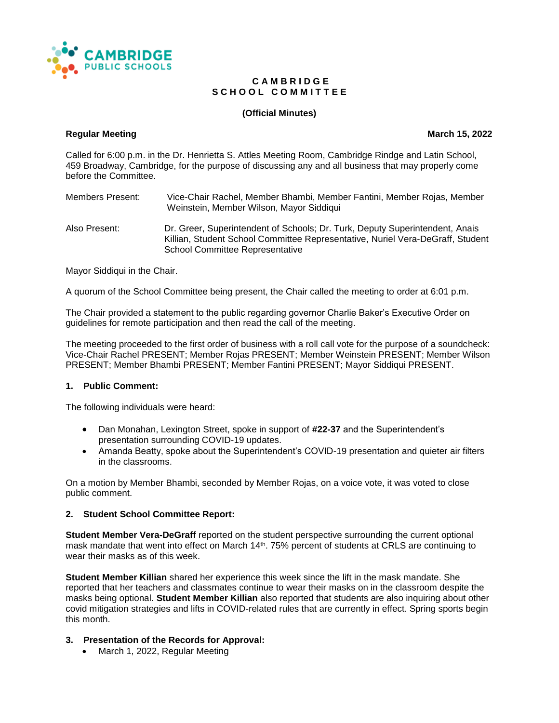

#### **C A M B R I D G E** S C H O O L C O M M I T T E E

# **(Official Minutes)**

#### **Regular Meeting Construction Construction Construction Construction Construction Construction Construction Construction Construction Construction Construction Construction Construction Construction Construction Constructi**

Called for 6:00 p.m. in the Dr. Henrietta S. Attles Meeting Room, Cambridge Rindge and Latin School, 459 Broadway, Cambridge, for the purpose of discussing any and all business that may properly come before the Committee.

Members Present: Vice-Chair Rachel, Member Bhambi, Member Fantini, Member Rojas, Member Weinstein, Member Wilson, Mayor Siddiqui

Also Present: Dr. Greer, Superintendent of Schools; Dr. Turk, Deputy Superintendent, Anais Killian, Student School Committee Representative, Nuriel Vera-DeGraff, Student School Committee Representative

Mayor Siddiqui in the Chair.

A quorum of the School Committee being present, the Chair called the meeting to order at 6:01 p.m.

The Chair provided a statement to the public regarding governor Charlie Baker's Executive Order on guidelines for remote participation and then read the call of the meeting.

The meeting proceeded to the first order of business with a roll call vote for the purpose of a soundcheck: Vice-Chair Rachel PRESENT; Member Rojas PRESENT; Member Weinstein PRESENT; Member Wilson PRESENT; Member Bhambi PRESENT; Member Fantini PRESENT; Mayor Siddiqui PRESENT.

#### **1. Public Comment:**

The following individuals were heard:

- Dan Monahan, Lexington Street, spoke in support of **#22-37** and the Superintendent's presentation surrounding COVID-19 updates.
- Amanda Beatty, spoke about the Superintendent's COVID-19 presentation and quieter air filters in the classrooms.

On a motion by Member Bhambi, seconded by Member Rojas, on a voice vote, it was voted to close public comment.

#### **2. Student School Committee Report:**

**Student Member Vera-DeGraff** reported on the student perspective surrounding the current optional mask mandate that went into effect on March 14<sup>th</sup>. 75% percent of students at CRLS are continuing to wear their masks as of this week.

**Student Member Killian** shared her experience this week since the lift in the mask mandate. She reported that her teachers and classmates continue to wear their masks on in the classroom despite the masks being optional. **Student Member Killian** also reported that students are also inquiring about other covid mitigation strategies and lifts in COVID-related rules that are currently in effect. Spring sports begin this month.

#### **3. Presentation of the Records for Approval:**

• March 1, 2022, Regular Meeting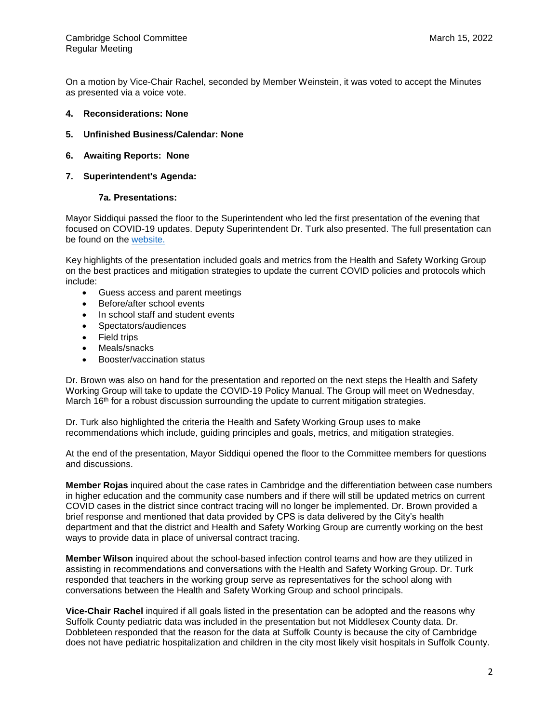On a motion by Vice-Chair Rachel, seconded by Member Weinstein, it was voted to accept the Minutes as presented via a voice vote.

- **4. Reconsiderations: None**
- **5. Unfinished Business/Calendar: None**
- **6. Awaiting Reports: None**
- **7. Superintendent's Agenda:**

#### **7a. Presentations:**

Mayor Siddiqui passed the floor to the Superintendent who led the first presentation of the evening that focused on COVID-19 updates. Deputy Superintendent Dr. Turk also presented. The full presentation can be found on the [website.](https://docs.google.com/presentation/d/1lHu0M_8VHTyvcns1uQDFWyz_BQKoUjsPBKPdTinuT6Q/edit?usp=sharing)

Key highlights of the presentation included goals and metrics from the Health and Safety Working Group on the best practices and mitigation strategies to update the current COVID policies and protocols which include:

- Guess access and parent meetings
- Before/after school events
- In school staff and student events
- Spectators/audiences
- Field trips
- Meals/snacks
- Booster/vaccination status

Dr. Brown was also on hand for the presentation and reported on the next steps the Health and Safety Working Group will take to update the COVID-19 Policy Manual. The Group will meet on Wednesday, March 16<sup>th</sup> for a robust discussion surrounding the update to current mitigation strategies.

Dr. Turk also highlighted the criteria the Health and Safety Working Group uses to make recommendations which include, guiding principles and goals, metrics, and mitigation strategies.

At the end of the presentation, Mayor Siddiqui opened the floor to the Committee members for questions and discussions.

**Member Rojas** inquired about the case rates in Cambridge and the differentiation between case numbers in higher education and the community case numbers and if there will still be updated metrics on current COVID cases in the district since contract tracing will no longer be implemented. Dr. Brown provided a brief response and mentioned that data provided by CPS is data delivered by the City's health department and that the district and Health and Safety Working Group are currently working on the best ways to provide data in place of universal contract tracing.

**Member Wilson** inquired about the school-based infection control teams and how are they utilized in assisting in recommendations and conversations with the Health and Safety Working Group. Dr. Turk responded that teachers in the working group serve as representatives for the school along with conversations between the Health and Safety Working Group and school principals.

**Vice-Chair Rachel** inquired if all goals listed in the presentation can be adopted and the reasons why Suffolk County pediatric data was included in the presentation but not Middlesex County data. Dr. Dobbleteen responded that the reason for the data at Suffolk County is because the city of Cambridge does not have pediatric hospitalization and children in the city most likely visit hospitals in Suffolk County.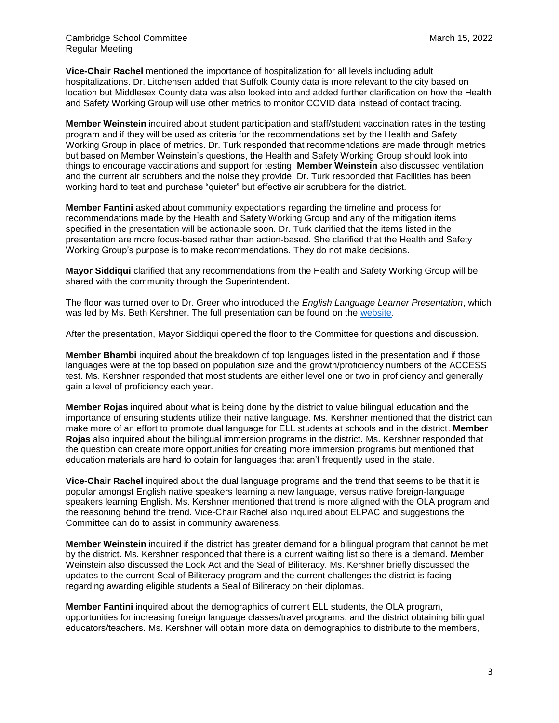**Vice-Chair Rachel** mentioned the importance of hospitalization for all levels including adult hospitalizations. Dr. Litchensen added that Suffolk County data is more relevant to the city based on location but Middlesex County data was also looked into and added further clarification on how the Health and Safety Working Group will use other metrics to monitor COVID data instead of contact tracing.

**Member Weinstein** inquired about student participation and staff/student vaccination rates in the testing program and if they will be used as criteria for the recommendations set by the Health and Safety Working Group in place of metrics. Dr. Turk responded that recommendations are made through metrics but based on Member Weinstein's questions, the Health and Safety Working Group should look into things to encourage vaccinations and support for testing. **Member Weinstein** also discussed ventilation and the current air scrubbers and the noise they provide. Dr. Turk responded that Facilities has been working hard to test and purchase "quieter" but effective air scrubbers for the district.

**Member Fantini** asked about community expectations regarding the timeline and process for recommendations made by the Health and Safety Working Group and any of the mitigation items specified in the presentation will be actionable soon. Dr. Turk clarified that the items listed in the presentation are more focus-based rather than action-based. She clarified that the Health and Safety Working Group's purpose is to make recommendations. They do not make decisions.

**Mayor Siddiqui** clarified that any recommendations from the Health and Safety Working Group will be shared with the community through the Superintendent.

The floor was turned over to Dr. Greer who introduced the *English Language Learner Presentation*, which was led by Ms. Beth Kershner. The full presentation can be found on the [website.](https://docs.google.com/presentation/d/1tuX8QKE3T4dyfOQbzV2LhfyC7A5e-2X0j11NvFPWgao/edit#slide=id.g35f391192_00)

After the presentation, Mayor Siddiqui opened the floor to the Committee for questions and discussion.

**Member Bhambi** inquired about the breakdown of top languages listed in the presentation and if those languages were at the top based on population size and the growth/proficiency numbers of the ACCESS test. Ms. Kershner responded that most students are either level one or two in proficiency and generally gain a level of proficiency each year.

**Member Rojas** inquired about what is being done by the district to value bilingual education and the importance of ensuring students utilize their native language. Ms. Kershner mentioned that the district can make more of an effort to promote dual language for ELL students at schools and in the district. **Member Rojas** also inquired about the bilingual immersion programs in the district. Ms. Kershner responded that the question can create more opportunities for creating more immersion programs but mentioned that education materials are hard to obtain for languages that aren't frequently used in the state.

**Vice-Chair Rachel** inquired about the dual language programs and the trend that seems to be that it is popular amongst English native speakers learning a new language, versus native foreign-language speakers learning English. Ms. Kershner mentioned that trend is more aligned with the OLA program and the reasoning behind the trend. Vice-Chair Rachel also inquired about ELPAC and suggestions the Committee can do to assist in community awareness.

**Member Weinstein** inquired if the district has greater demand for a bilingual program that cannot be met by the district. Ms. Kershner responded that there is a current waiting list so there is a demand. Member Weinstein also discussed the Look Act and the Seal of Biliteracy. Ms. Kershner briefly discussed the updates to the current Seal of Biliteracy program and the current challenges the district is facing regarding awarding eligible students a Seal of Biliteracy on their diplomas.

**Member Fantini** inquired about the demographics of current ELL students, the OLA program, opportunities for increasing foreign language classes/travel programs, and the district obtaining bilingual educators/teachers. Ms. Kershner will obtain more data on demographics to distribute to the members,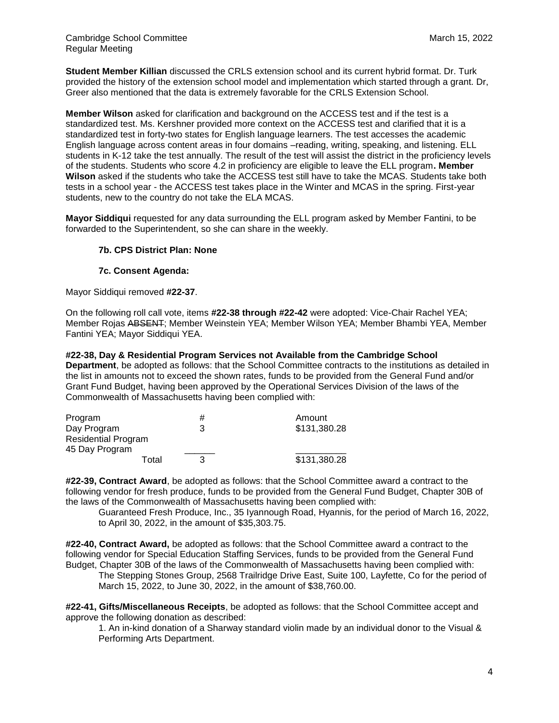**Student Member Killian** discussed the CRLS extension school and its current hybrid format. Dr. Turk provided the history of the extension school model and implementation which started through a grant. Dr, Greer also mentioned that the data is extremely favorable for the CRLS Extension School.

**Member Wilson** asked for clarification and background on the ACCESS test and if the test is a standardized test. Ms. Kershner provided more context on the ACCESS test and clarified that it is a standardized test in forty-two states for English language learners. The test accesses the academic English language across content areas in four domains –reading, writing, speaking, and listening. ELL students in K-12 take the test annually. The result of the test will assist the district in the proficiency levels of the students. Students who score 4.2 in proficiency are eligible to leave the ELL program**. Member Wilson** asked if the students who take the ACCESS test still have to take the MCAS. Students take both tests in a school year - the ACCESS test takes place in the Winter and MCAS in the spring. First-year students, new to the country do not take the ELA MCAS.

**Mayor Siddiqui** requested for any data surrounding the ELL program asked by Member Fantini, to be forwarded to the Superintendent, so she can share in the weekly.

# **7b. CPS District Plan: None**

#### **7c. Consent Agenda:**

Mayor Siddiqui removed **#22-37**.

On the following roll call vote, items **#22-38 through #22-42** were adopted: Vice-Chair Rachel YEA; Member Rojas ABSENT; Member Weinstein YEA; Member Wilson YEA; Member Bhambi YEA, Member Fantini YEA; Mayor Siddiqui YEA.

**#22-38, Day & Residential Program Services not Available from the Cambridge School Department**, be adopted as follows: that the School Committee contracts to the institutions as detailed in the list in amounts not to exceed the shown rates, funds to be provided from the General Fund and/or Grant Fund Budget, having been approved by the Operational Services Division of the laws of the Commonwealth of Massachusetts having been complied with:

| Program                    | # | Amount       |
|----------------------------|---|--------------|
| Day Program                | З | \$131,380.28 |
| <b>Residential Program</b> |   |              |
| 45 Day Program             |   |              |
| Total                      |   | \$131,380.28 |

**#22-39, Contract Award**, be adopted as follows: that the School Committee award a contract to the following vendor for fresh produce, funds to be provided from the General Fund Budget, Chapter 30B of the laws of the Commonwealth of Massachusetts having been complied with:

Guaranteed Fresh Produce, Inc., 35 Iyannough Road, Hyannis, for the period of March 16, 2022, to April 30, 2022, in the amount of \$35,303.75.

**#22-40, Contract Award,** be adopted as follows: that the School Committee award a contract to the following vendor for Special Education Staffing Services, funds to be provided from the General Fund Budget, Chapter 30B of the laws of the Commonwealth of Massachusetts having been complied with:

The Stepping Stones Group, 2568 Trailridge Drive East, Suite 100, Layfette, Co for the period of March 15, 2022, to June 30, 2022, in the amount of \$38,760.00.

**#22-41, Gifts/Miscellaneous Receipts**, be adopted as follows: that the School Committee accept and approve the following donation as described:

1. An in-kind donation of a Sharway standard violin made by an individual donor to the Visual & Performing Arts Department.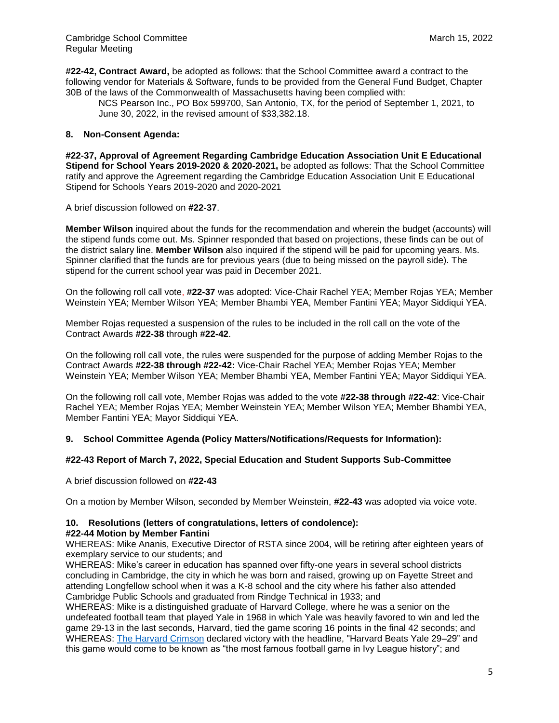**#22-42, Contract Award,** be adopted as follows: that the School Committee award a contract to the following vendor for Materials & Software, funds to be provided from the General Fund Budget, Chapter 30B of the laws of the Commonwealth of Massachusetts having been complied with:

NCS Pearson Inc., PO Box 599700, San Antonio, TX, for the period of September 1, 2021, to June 30, 2022, in the revised amount of \$33,382.18.

# **8. Non-Consent Agenda:**

**#22-37, Approval of Agreement Regarding Cambridge Education Association Unit E Educational Stipend for School Years 2019-2020 & 2020-2021,** be adopted as follows: That the School Committee ratify and approve the Agreement regarding the Cambridge Education Association Unit E Educational Stipend for Schools Years 2019-2020 and 2020-2021

A brief discussion followed on **#22-37**.

**Member Wilson** inquired about the funds for the recommendation and wherein the budget (accounts) will the stipend funds come out. Ms. Spinner responded that based on projections, these finds can be out of the district salary line. **Member Wilson** also inquired if the stipend will be paid for upcoming years. Ms. Spinner clarified that the funds are for previous years (due to being missed on the payroll side). The stipend for the current school year was paid in December 2021.

On the following roll call vote, **#22-37** was adopted: Vice-Chair Rachel YEA; Member Rojas YEA; Member Weinstein YEA; Member Wilson YEA; Member Bhambi YEA, Member Fantini YEA; Mayor Siddiqui YEA.

Member Rojas requested a suspension of the rules to be included in the roll call on the vote of the Contract Awards **#22-38** through **#22-42**.

On the following roll call vote, the rules were suspended for the purpose of adding Member Rojas to the Contract Awards **#22-38 through #22-42:** Vice-Chair Rachel YEA; Member Rojas YEA; Member Weinstein YEA; Member Wilson YEA; Member Bhambi YEA, Member Fantini YEA; Mayor Siddiqui YEA.

On the following roll call vote, Member Rojas was added to the vote **#22-38 through #22-42**: Vice-Chair Rachel YEA; Member Rojas YEA; Member Weinstein YEA; Member Wilson YEA; Member Bhambi YEA, Member Fantini YEA; Mayor Siddiqui YEA.

#### **9. School Committee Agenda (Policy Matters/Notifications/Requests for Information):**

#### **#22-43 Report of March 7, 2022, Special Education and Student Supports Sub-Committee**

A brief discussion followed on **#22-43**

On a motion by Member Wilson, seconded by Member Weinstein, **#22-43** was adopted via voice vote.

# **10. Resolutions (letters of congratulations, letters of condolence):**

#### **#22-44 Motion by Member Fantini**

WHEREAS: Mike Ananis, Executive Director of RSTA since 2004, will be retiring after eighteen years of exemplary service to our students; and

WHEREAS: Mike's career in education has spanned over fifty-one years in several school districts concluding in Cambridge, the city in which he was born and raised, growing up on Fayette Street and attending Longfellow school when it was a K-8 school and the city where his father also attended Cambridge Public Schools and graduated from Rindge Technical in 1933; and

WHEREAS: Mike is a distinguished graduate of Harvard College, where he was a senior on the undefeated football team that played Yale in 1968 in which Yale was heavily favored to win and led the game 29-13 in the last seconds, Harvard, tied the game scoring 16 points in the final 42 seconds; and WHEREAS: [The Harvard Crimson](https://en.wikipedia.org/wiki/The_Harvard_Crimson) declared victory with the headline, "Harvard Beats Yale 29–29" and this game would come to be known as "the most famous football game in Ivy League history"; and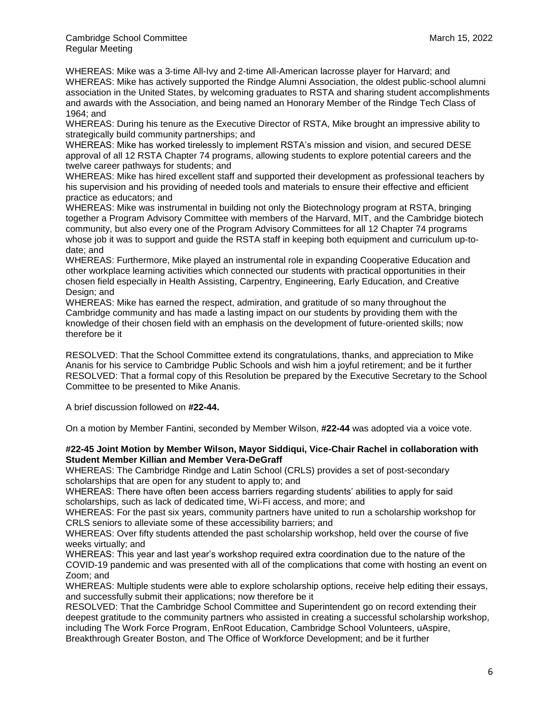WHEREAS: Mike was a 3-time All-Ivy and 2-time All-American lacrosse player for Harvard; and WHEREAS: Mike has actively supported the Rindge Alumni Association, the oldest public-school alumni association in the United States, by welcoming graduates to RSTA and sharing student accomplishments and awards with the Association, and being named an Honorary Member of the Rindge Tech Class of 1964; and

WHEREAS: During his tenure as the Executive Director of RSTA, Mike brought an impressive ability to strategically build community partnerships; and

WHEREAS: Mike has worked tirelessly to implement RSTA's mission and vision, and secured DESE approval of all 12 RSTA Chapter 74 programs, allowing students to explore potential careers and the twelve career pathways for students; and

WHEREAS: Mike has hired excellent staff and supported their development as professional teachers by his supervision and his providing of needed tools and materials to ensure their effective and efficient practice as educators; and

WHEREAS: Mike was instrumental in building not only the Biotechnology program at RSTA, bringing together a Program Advisory Committee with members of the Harvard, MIT, and the Cambridge biotech community, but also every one of the Program Advisory Committees for all 12 Chapter 74 programs whose job it was to support and guide the RSTA staff in keeping both equipment and curriculum up-todate; and

WHEREAS: Furthermore, Mike played an instrumental role in expanding Cooperative Education and other workplace learning activities which connected our students with practical opportunities in their chosen field especially in Health Assisting, Carpentry, Engineering, Early Education, and Creative Design; and

WHEREAS: Mike has earned the respect, admiration, and gratitude of so many throughout the Cambridge community and has made a lasting impact on our students by providing them with the knowledge of their chosen field with an emphasis on the development of future-oriented skills; now therefore be it

RESOLVED: That the School Committee extend its congratulations, thanks, and appreciation to Mike Ananis for his service to Cambridge Public Schools and wish him a joyful retirement; and be it further RESOLVED: That a formal copy of this Resolution be prepared by the Executive Secretary to the School Committee to be presented to Mike Ananis.

A brief discussion followed on **#22-44.**

On a motion by Member Fantini, seconded by Member Wilson, **#22-44** was adopted via a voice vote.

#### **#22-45 Joint Motion by Member Wilson, Mayor Siddiqui, Vice-Chair Rachel in collaboration with Student Member Killian and Member Vera-DeGraff**

WHEREAS: The Cambridge Rindge and Latin School (CRLS) provides a set of post-secondary scholarships that are open for any student to apply to; and

WHEREAS: There have often been access barriers regarding students' abilities to apply for said scholarships, such as lack of dedicated time, Wi-Fi access, and more; and

WHEREAS: For the past six years, community partners have united to run a scholarship workshop for CRLS seniors to alleviate some of these accessibility barriers; and

WHEREAS: Over fifty students attended the past scholarship workshop, held over the course of five weeks virtually; and

WHEREAS: This year and last year's workshop required extra coordination due to the nature of the COVID-19 pandemic and was presented with all of the complications that come with hosting an event on Zoom; and

WHEREAS: Multiple students were able to explore scholarship options, receive help editing their essays, and successfully submit their applications; now therefore be it

RESOLVED: That the Cambridge School Committee and Superintendent go on record extending their deepest gratitude to the community partners who assisted in creating a successful scholarship workshop, including The Work Force Program, EnRoot Education, Cambridge School Volunteers, uAspire, Breakthrough Greater Boston, and The Office of Workforce Development; and be it further